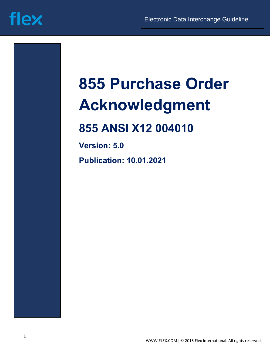

# **855 Purchase Order Acknowledgment**

### **855 ANSI X12 004010**

**Version: 5.0**

**Publication: 10.01.2021**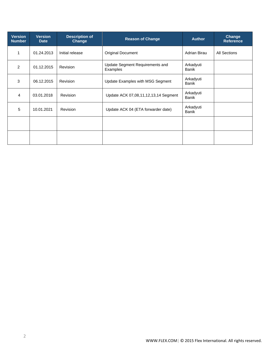| <b>Version</b><br><b>Number</b> | <b>Version</b><br><b>Date</b> | <b>Description of</b><br>Change | <b>Reason of Change</b>                     | <b>Author</b>             | Change<br><b>Reference</b> |
|---------------------------------|-------------------------------|---------------------------------|---------------------------------------------|---------------------------|----------------------------|
| 1                               | 01.24.2013                    | Initial release                 | <b>Original Document</b>                    | Adrian Birau              | <b>All Sections</b>        |
| 2                               | 01.12.2015                    | <b>Revision</b>                 | Update Segment Requirements and<br>Examples | Arkadyuti<br><b>Banik</b> |                            |
| 3                               | 06.12.2015                    | Revision                        | Update Examples with MSG Segment            | Arkadyuti<br><b>Banik</b> |                            |
| $\overline{4}$                  | 03.01.2018                    | Revision                        | Update ACK 07,08,11,12,13,14 Segment        | Arkadyuti<br><b>Banik</b> |                            |
| 5                               | 10.01.2021                    | Revision                        | Update ACK 04 (ETA forwarder date)          | Arkadyuti<br><b>Banik</b> |                            |
|                                 |                               |                                 |                                             |                           |                            |
|                                 |                               |                                 |                                             |                           |                            |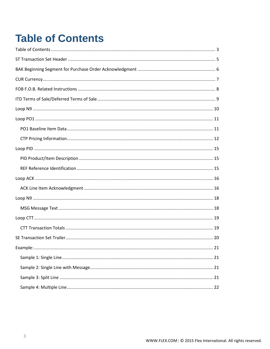## <span id="page-2-0"></span>**Table of Contents**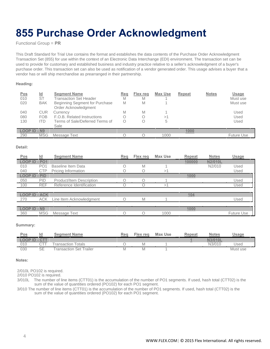### **855 Purchase Order Acknowledgment**

Functional Group = **PR**

This Draft Standard for Trial Use contains the format and establishes the data contents of the Purchase Order Acknowledgment Transaction Set (855) for use within the context of an Electronic Data Interchange (EDI) environment. The transaction set can be used to provide for customary and established business and industry practice relative to a seller's acknowledgment of a buyer's purchase order. This transaction set can also be used as notification of a vendor generated order. This usage advises a buyer that a vendor has or will ship merchandise as prearranged in their partnership.

#### **Heading:**

| <b>Pos</b><br>010<br>020<br>040<br>080 | <u>ld</u><br><b>ST</b><br><b>BAK</b><br><b>CUR</b><br><b>FOB</b> | <b>Segment Name</b><br><b>Transaction Set Header</b><br>Beginning Segment for Purchase<br>Order Acknowledgment<br>Currency<br>F.O.B. Related Instructions | Reg<br>M<br>M<br>Μ<br>Ο | Flex reg<br>M<br>M<br>M<br>Ο | <b>Max Use</b><br>>1 | <b>Repeat</b> | <b>Notes</b> | Usage<br>Must use<br>Must use<br>Used<br>Used |
|----------------------------------------|------------------------------------------------------------------|-----------------------------------------------------------------------------------------------------------------------------------------------------------|-------------------------|------------------------------|----------------------|---------------|--------------|-----------------------------------------------|
| 130                                    | <b>ITD</b>                                                       | Terms of Sale/Deferred Terms of<br>Sale                                                                                                                   | Ο                       | Ο                            |                      |               |              | Used                                          |
| <b>LOOP ID - N9</b>                    |                                                                  |                                                                                                                                                           |                         |                              |                      | 1000          |              |                                               |
| 290                                    | <b>MSG</b>                                                       | Message Text                                                                                                                                              |                         |                              | 1000                 |               |              | <b>Future Use</b>                             |

#### **Detail:**

| <b>Pos</b>           | Id              | <b>Segment Name</b>      | Reg | Flex req | Max Use | <b>Repeat</b> | <b>Notes</b>   | Usage             |
|----------------------|-----------------|--------------------------|-----|----------|---------|---------------|----------------|-------------------|
| LOOP ID - PO1        |                 |                          |     |          |         | 100000        | <b>N2/010L</b> |                   |
| 010                  | PO <sub>1</sub> | Baseline Item Data       |     | Μ        |         |               | N2/010         | Used              |
| 040                  | <b>CTP</b>      | Pricing Information      |     |          | $\geq$  |               |                | Used              |
| <b>LOOP ID</b>       | - PID           |                          |     |          |         | 1000          |                |                   |
| 050                  | <b>PID</b>      | Product/Item Description |     | ∩        |         |               |                | Used              |
| 100                  | <b>REF</b>      | Reference Identification |     |          |         |               |                | Used              |
|                      |                 |                          |     |          |         |               |                |                   |
| <b>LOOP ID - ACK</b> |                 |                          |     |          |         | <u>104</u>    |                |                   |
| 270                  | <b>ACK</b>      | Line Item Acknowledgment |     | M        |         |               |                | Used              |
|                      |                 |                          |     |          |         |               |                |                   |
| <b>LOOP ID - N9</b>  |                 |                          |     |          |         | 1000          |                |                   |
| 360                  | <b>MSG</b>      | Message Text             |     |          | 1000    |               |                | <b>Future Use</b> |

#### **Summary:**

| Pos                  | ıd | <b>Seament Name</b>            | Rea | Flex rea | Max Use | Repeat   | <b>Notes</b> | Jsage    |
|----------------------|----|--------------------------------|-----|----------|---------|----------|--------------|----------|
| <b>LOOP ID - CTT</b> |    |                                |     |          |         | $\equiv$ | N3/010L      |          |
| 010                  |    | <b>Fransaction Totals</b>      |     | M        |         |          | N3/010       | Jsed     |
| 030                  | SE | <b>Fransaction Set Trailer</b> |     | M        |         |          |              | Must use |

**Notes:**

2/010L PO102 is required.

2/010 PO102 is required.

3/010L The number of line items (CTT01) is the accumulation of the number of PO1 segments. If used, hash total (CTT02) is the sum of the value of quantities ordered (PO102) for each PO1 segment.

3/010 The number of line items (CTT01) is the accumulation of the number of PO1 segments. If used, hash total (CTT02) is the sum of the value of quantities ordered (PO102) for each PO1 segment.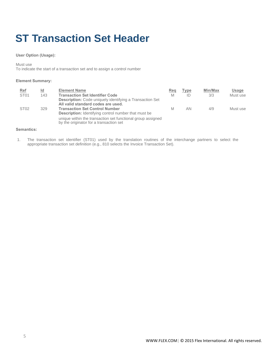### <span id="page-4-0"></span>**ST Transaction Set Header**

#### **User Option (Usage):**

Must use

To indicate the start of a transaction set and to assign a control number

#### **Element Summary:**

| Ref<br>ST <sub>01</sub> | <u>ld</u><br>143 | <b>Element Name</b><br><b>Transaction Set Identifier Code</b><br><b>Description:</b> Code uniquely identifying a Transaction Set           | Reg<br>M | <b>Type</b><br>ID | Min/Max<br>3/3 | Usage<br>Must use |
|-------------------------|------------------|--------------------------------------------------------------------------------------------------------------------------------------------|----------|-------------------|----------------|-------------------|
| ST <sub>02</sub>        | 329              | All valid standard codes are used.<br><b>Transaction Set Control Number</b><br><b>Description:</b> Identifying control number that must be | M        | AN.               | 4/9            | Must use          |
|                         |                  | unique within the transaction set functional group assigned<br>by the originator for a transaction set                                     |          |                   |                |                   |

#### **Semantics:**

1. The transaction set identifier (ST01) used by the translation routines of the interchange partners to select the appropriate transaction set definition (e.g., 810 selects the Invoice Transaction Set).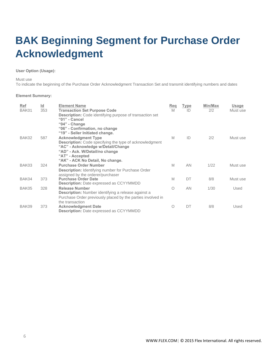### <span id="page-5-0"></span>**BAK Beginning Segment for Purchase Order Acknowledgment**

#### **User Option (Usage):**

Must use

To indicate the beginning of the Purchase Order Acknowledgment Transaction Set and transmit identifying numbers and dates

| Ref<br>BAK01 | $\underline{\mathsf{Id}}$<br>353 | <b>Element Name</b><br><b>Transaction Set Purpose Code</b><br><b>Description:</b> Code identifying purpose of transaction set<br>"01" - Cancel                                                                                                                                | Reg<br>M | <u>Type</u><br>ID | Min/Max<br>2/2 | Usage<br>Must use |
|--------------|----------------------------------|-------------------------------------------------------------------------------------------------------------------------------------------------------------------------------------------------------------------------------------------------------------------------------|----------|-------------------|----------------|-------------------|
| BAK02        | 587                              | "04" - Change<br>"06" - Confirmation, no change<br>"19" - Seller Initiated change.<br><b>Acknowledgment Type</b><br><b>Description:</b> Code specifying the type of acknowledgment<br>"AC" - Acknowledge w/Detail/Change<br>"AD" - Ack. W/Detail/no change<br>"AT" - Accepted | M        | ID                | 2/2            | Must use          |
| BAK03        | 324                              | "AK" - ACK No Detail, No change.<br><b>Purchase Order Number</b><br><b>Description:</b> Identifying number for Purchase Order                                                                                                                                                 | M        | <b>AN</b>         | 1/22           | Must use          |
| BAK04        | 373                              | assigned by the orderer/purchaser<br><b>Purchase Order Date</b><br><b>Description:</b> Date expressed as CCYYMMDD                                                                                                                                                             | M        | DT                | 8/8            | Must use          |
| BAK05        | 328                              | <b>Release Number</b><br><b>Description:</b> Number identifying a release against a<br>Purchase Order previously placed by the parties involved in                                                                                                                            | O        | <b>AN</b>         | 1/30           | Used              |
| BAK09        | 373                              | the transaction<br><b>Acknowledgment Date</b><br><b>Description:</b> Date expressed as CCYYMMDD                                                                                                                                                                               | $\circ$  | DT                | 8/8            | Used              |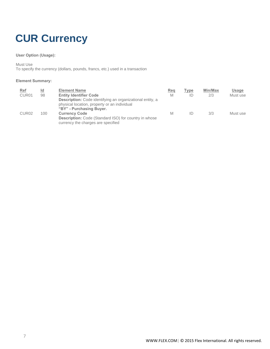### <span id="page-6-0"></span>**CUR Currency**

#### **User Option (Usage):**

Must Use

To specify the currency (dollars, pounds, francs, etc.) used in a transaction

| <b>Ref</b><br>CUR <sub>01</sub> | <u>ld</u><br>98 | <b>Element Name</b><br><b>Entity Identifier Code</b><br><b>Description:</b> Code identifying an organizational entity, a<br>physical location, property or an individual<br>"BY" - Purchasing Buyer. | <b>Req</b><br>M | Type<br>ID | Min/Max<br>2/3 | Usage<br>Must use |
|---------------------------------|-----------------|------------------------------------------------------------------------------------------------------------------------------------------------------------------------------------------------------|-----------------|------------|----------------|-------------------|
| CUR <sub>02</sub>               | 100             | <b>Currency Code</b><br>Description: Code (Standard ISO) for country in whose<br>currency the charges are specified                                                                                  | M               | ID         | 3/3            | Must use          |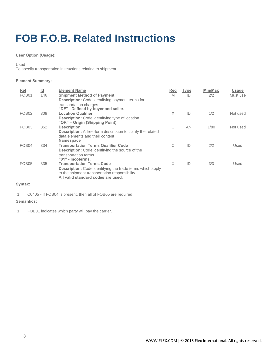### <span id="page-7-0"></span>**FOB F.O.B. Related Instructions**

#### **User Option (Usage):**

Used

To specify transportation instructions relating to shipment

#### **Element Summary:**

| Ref               | $\underline{\mathsf{Id}}$ | <b>Element Name</b>                                                                                                                                                                         | Reg        | <b>Type</b> | Min/Max | <b>Usage</b> |
|-------------------|---------------------------|---------------------------------------------------------------------------------------------------------------------------------------------------------------------------------------------|------------|-------------|---------|--------------|
| FOB <sub>01</sub> | 146                       | <b>Shipment Method of Payment</b><br><b>Description:</b> Code identifying payment terms for                                                                                                 | M          | ID          | 2/2     | Must use     |
|                   |                           | transportation charges<br>"DF" - Defined by buyer and seller.                                                                                                                               |            |             |         |              |
| FOB <sub>02</sub> | 309                       | <b>Location Qualifier</b><br><b>Description:</b> Code identifying type of location<br>"OR" – Origin (Shipping Point).                                                                       | X          | ID          | 1/2     | Not used     |
| FOB <sub>03</sub> | 352                       | <b>Description</b><br><b>Description:</b> A free-form description to clarify the related<br>data elements and their content<br><b>Namespace</b>                                             | $\bigcirc$ | AN          | 1/80    | Not used     |
| FOB <sub>04</sub> | 334                       | <b>Transportation Terms Qualifier Code</b><br><b>Description:</b> Code identifying the source of the<br>transportation terms<br>"01" - Incoterms.                                           | $\bigcirc$ | ID          | 2/2     | Used         |
| FOB <sub>05</sub> | 335                       | <b>Transportation Terms Code</b><br><b>Description:</b> Code identifying the trade terms which apply<br>to the shipment transportation responsibility<br>All valid standard codes are used. | X          | ID          | 3/3     | Used         |

#### **Syntax:**

1. C0405 - If FOB04 is present, then all of FOB05 are required

#### **Semantics:**

1. FOB01 indicates which party will pay the carrier.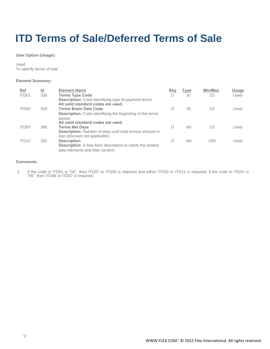### <span id="page-8-0"></span>**ITD Terms of Sale/Deferred Terms of Sale**

**User Option (Usage):**

Used To specify terms of sale

#### **Element Summary:**

| <b>Ref</b><br>ITD01 | $\underline{\mathsf{Id}}$<br>336 | <b>Element Name</b><br><b>Terms Type Code</b>                                                                                    | Reg<br>$\circ$ | Type<br>ID     | Min/Max<br>2/2 | Usage<br>Used |
|---------------------|----------------------------------|----------------------------------------------------------------------------------------------------------------------------------|----------------|----------------|----------------|---------------|
| ITD <sub>02</sub>   | 333                              | <b>Description:</b> Code identifying type of payment terms<br>All valid standard codes are used.<br><b>Terms Basis Date Code</b> | $\bigcirc$     | ID             | 1/2            | Used          |
|                     |                                  | <b>Description:</b> Code identifying the beginning of the terms<br>period<br>All valid standard codes are used.                  |                |                |                |               |
| ITD07               | 386                              | <b>Terms Net Days</b><br><b>Description:</b> Number of days until total invoice amount is<br>due (discount not applicable)       | ∩              | N <sub>0</sub> | 1/3            | Used          |
| ITD <sub>12</sub>   | 352                              | <b>Description</b><br><b>Description:</b> A free-form description to clarify the related<br>data elements and their content      | ∩              | AN             | 1/80           | Used          |

#### **Comments:**

1. If the code in ITD01 is "04", then ITD07 or ITD09 is required and either ITD10 or ITD11 is required; if the code in ITD01 is "05", then ITD06 or ITD07 is required.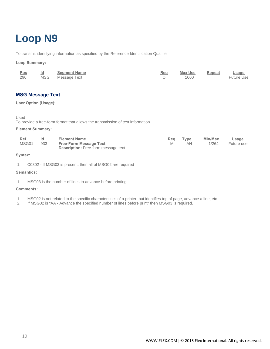### <span id="page-9-0"></span>**Loop N9**

To transmit identifying information as specified by the Reference Identification Qualifier

#### **Loop Summary:**

| <u>Pos</u> | Id | Segment Name     | Req | <u>Max Use</u> | Repeat | <b>Usage</b>      |
|------------|----|------------------|-----|----------------|--------|-------------------|
| 290        |    | MSG Message Text |     | 1000           |        | <b>Future Use</b> |

#### **MSG Message Text**

#### **User Option (Usage):**

Used

To provide a free-form format that allows the transmission of text information

#### **Element Summary:**

| <b>Ref</b> |     | <b>Element Name</b>                        | Req | Type | Min/Max | <b>Usage</b> |
|------------|-----|--------------------------------------------|-----|------|---------|--------------|
| MSG01      | 933 | <b>Free-Form Message Text</b>              |     | ΑN   | 1/264   | Future use   |
|            |     | <b>Description:</b> Free-form message text |     |      |         |              |

#### **Syntax:**

1. C0302 - If MSG03 is present, then all of MSG02 are required

#### **Semantics:**

1. MSG03 is the number of lines to advance before printing.

- 1. MSG02 is not related to the specific characteristics of a printer, but identifies top of page, advance a line, etc.
- 2. If MSG02 is "AA Advance the specified number of lines before print" then MSG03 is required.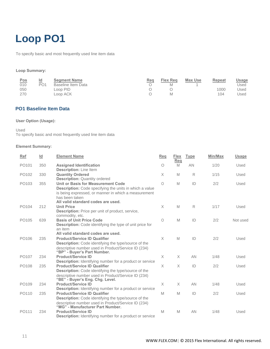### <span id="page-10-0"></span>**Loop PO1**

To specify basic and most frequently used line item data

#### **Loop Summary:**

| Pos | $\underline{\mathsf{Id}}$ | <b>Seament Name</b> | Rea | <b>Flex Reg</b> | Max Use | Repeat | <u>Usage</u> |
|-----|---------------------------|---------------------|-----|-----------------|---------|--------|--------------|
| 010 | PO <sub>1</sub>           | Baseline Item Data  |     | M               |         |        | Used         |
| 050 |                           | Loop PID            |     |                 |         | 1000   | Jsed         |
| 270 |                           | Loop ACK            |     | M               |         | 104    | Jsed         |

#### <span id="page-10-1"></span>**PO1 Baseline Item Data**

#### **User Option (Usage):**

Used

To specify basic and most frequently used line item data

| <b>Ref</b>        | Id  | <b>Element Name</b>                                                                                                                                                                                                  | <b>Req</b> | Flex<br>Req | <b>Type</b> | Min/Max | <b>Usage</b> |
|-------------------|-----|----------------------------------------------------------------------------------------------------------------------------------------------------------------------------------------------------------------------|------------|-------------|-------------|---------|--------------|
| PO <sub>101</sub> | 350 | <b>Assigned Identification</b><br><b>Description:</b> Line Item                                                                                                                                                      | O          | M           | AN          | 1/20    | Used         |
| PO102             | 330 | <b>Quantity Ordered</b><br><b>Description: Quantity ordered</b>                                                                                                                                                      | X          | M           | R           | 1/15    | Used         |
| PO103             | 355 | Unit or Basis for Measurement Code<br><b>Description:</b> Code specifying the units in which a value<br>is being expressed, or manner in which a measurement<br>has been taken<br>All valid standard codes are used. | $\circ$    | M           | ID          | 2/2     | Used         |
| PO104             | 212 | <b>Unit Price</b><br><b>Description:</b> Price per unit of product, service,<br>commodity, etc.                                                                                                                      | X          | M           | R           | 1/17    | Used         |
| PO <sub>105</sub> | 639 | <b>Basis of Unit Price Code</b><br>Description: Code identifying the type of unit price for<br>an item<br>All valid standard codes are used.                                                                         | $\bigcirc$ | M           | ID          | 2/2     | Not used     |
| PO106             | 235 | <b>Product/Service ID Qualifier</b><br><b>Description:</b> Code identifying the type/source of the<br>descriptive number used in Product/Service ID (234)<br>"BP" - Buyer's Part Number.                             | X          | M           | ID          | 2/2     | Used         |
| PO107             | 234 | <b>Product/Service ID</b><br>Description: Identifying number for a product or service                                                                                                                                | X          | X           | AN          | 1/48    | Used         |
| PO <sub>108</sub> | 235 | <b>Product/Service ID Qualifier</b><br><b>Description:</b> Code identifying the type/source of the<br>descriptive number used in Product/Service ID (234)<br>"BE" - Buyer's Eng. Chg. Level.                         | $\times$   | $\times$    | ID          | 2/2     | Used         |
| PO <sub>109</sub> | 234 | <b>Product/Service ID</b><br><b>Description:</b> Identifying number for a product or service                                                                                                                         | X          | $\times$    | AN          | 1/48    | Used         |
| PO110             | 235 | <b>Product/Service ID Qualifier</b><br><b>Description:</b> Code identifying the type/source of the<br>descriptive number used in Product/Service ID (234)<br>"MG" - Manufacturer Part Number.                        | M          | M           | ID          | 2/2     | Used         |
| PO111             | 234 | <b>Product/Service ID</b><br><b>Description:</b> Identifying number for a product or service                                                                                                                         | M          | M           | AN          | 1/48    | Used         |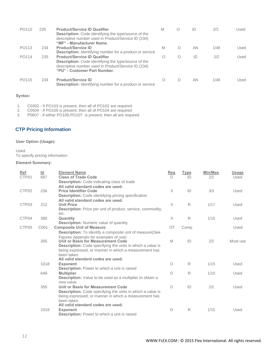| PO <sub>112</sub> | 235 | <b>Product/Service ID Qualifier</b><br><b>Description:</b> Code identifying the type/source of the<br>descriptive number used in Product/Service ID (234)<br>"MF" - Manufacturer Name.    | M | Ο | ID | 2/2  | Used |
|-------------------|-----|-------------------------------------------------------------------------------------------------------------------------------------------------------------------------------------------|---|---|----|------|------|
| PO113             | 234 | <b>Product/Service ID</b><br><b>Description:</b> Identifying number for a product or service                                                                                              | M | Ω | AN | 1/48 | Used |
| PO114             | 235 | <b>Product/Service ID Qualifier</b><br><b>Description:</b> Code identifying the type/source of the<br>descriptive number used in Product/Service ID (234)<br>"PU" - Customer Part Number. | O | Ω | ID | 2/2  | Used |
| PO115             | 234 | <b>Product/Service ID</b><br><b>Description:</b> Identifying number for a product or service                                                                                              | O | Ω | AN | 1/48 | Used |

#### **Syntax:**

- 1. C0302 If PO103 is present, then all of PO102 are required
- 2. C0504 If PO105 is present, then all of PO104 are required
- 3. P0607 If either PO106,PO107 is present, then all are required

#### <span id="page-11-0"></span>**CTP Pricing Information**

#### **User Option (Usage):**

Used To specify pricing information

| Ref               | $\underline{\mathsf{Id}}$ | <b>Element Name</b>                                                 | Req       | <b>Type</b> | Min/Max | <b>Usage</b> |
|-------------------|---------------------------|---------------------------------------------------------------------|-----------|-------------|---------|--------------|
| CTP01             | 687                       | <b>Class of Trade Code</b>                                          | $\bigcap$ | ID          | 2/2     | Used         |
|                   |                           | <b>Description:</b> Code indicating class of trade                  |           |             |         |              |
|                   |                           | All valid standard codes are used.                                  |           |             |         |              |
| CTP <sub>02</sub> | 236                       | <b>Price Identifier Code</b>                                        | $\times$  | ID          | 3/3     | Used         |
|                   |                           | <b>Description:</b> Code identifying pricing specification          |           |             |         |              |
|                   | 212                       | All valid standard codes are used.<br><b>Unit Price</b>             | $\times$  | R           | 1/17    |              |
| CTP <sub>03</sub> |                           | <b>Description:</b> Price per unit of product, service, commodity,  |           |             |         | Used         |
|                   |                           | etc.                                                                |           |             |         |              |
| CTP04             | 380                       | Quantity                                                            | X         | R           | 1/15    | Used         |
|                   |                           | <b>Description:</b> Numeric value of quantity                       |           |             |         |              |
| CTP05             | C001                      | <b>Composite Unit of Measure</b>                                    | OT        | Comp        |         | Used         |
|                   |                           | <b>Description:</b> To identify a composite unit of measure (See    |           |             |         |              |
|                   |                           | Figures Appendix for examples of use)                               |           |             |         |              |
|                   | 355                       | Unit or Basis for Measurement Code                                  | M         | ID          | 2/2     | Must use     |
|                   |                           | Description: Code specifying the units in which a value is          |           |             |         |              |
|                   |                           | being expressed, or manner in which a measurement has               |           |             |         |              |
|                   |                           | been taken                                                          |           |             |         |              |
|                   |                           | All valid standard codes are used.                                  |           |             |         |              |
|                   | 1018                      | <b>Exponent</b>                                                     | O         | R           | 1/15    | Used         |
|                   |                           | <b>Description:</b> Power to which a unit is raised                 |           |             |         |              |
|                   | 649                       | <b>Multiplier</b>                                                   | O         | R           | 1/10    | Used         |
|                   |                           | <b>Description:</b> Value to be used as a multiplier to obtain a    |           |             |         |              |
|                   |                           | new value                                                           |           |             |         |              |
|                   | 355                       | Unit or Basis for Measurement Code                                  | $\circ$   | ID          | 2/2     | Used         |
|                   |                           | <b>Description:</b> Code specifying the units in which a value is   |           |             |         |              |
|                   |                           | being expressed, or manner in which a measurement has<br>been taken |           |             |         |              |
|                   |                           | All valid standard codes are used.                                  |           |             |         |              |
|                   | 1018                      | <b>Exponent</b>                                                     | O         | R           | 1/15    | Used         |
|                   |                           | Description: Power to which a unit is raised                        |           |             |         |              |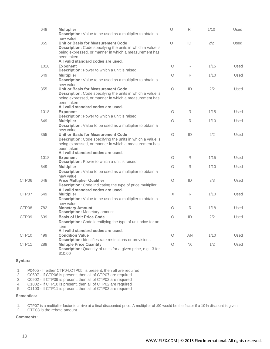|       | 649  | <b>Multiplier</b><br><b>Description:</b> Value to be used as a multiplier to obtain a                                                                                                                         | $\circ$    | R              | 1/10 | Used |
|-------|------|---------------------------------------------------------------------------------------------------------------------------------------------------------------------------------------------------------------|------------|----------------|------|------|
|       | 355  | new value<br><b>Unit or Basis for Measurement Code</b><br>Description: Code specifying the units in which a value is<br>being expressed, or manner in which a measurement has<br>been taken                   | $\circ$    | ID             | 2/2  | Used |
|       | 1018 | All valid standard codes are used.<br><b>Exponent</b><br>Description: Power to which a unit is raised                                                                                                         | О          | R              | 1/15 | Used |
|       | 649  | <b>Multiplier</b><br><b>Description:</b> Value to be used as a multiplier to obtain a<br>new value                                                                                                            | $\bigcirc$ | R              | 1/10 | Used |
|       | 355  | Unit or Basis for Measurement Code<br>Description: Code specifying the units in which a value is<br>being expressed, or manner in which a measurement has<br>been taken<br>All valid standard codes are used. | $\circ$    | ID             | 2/2  | Used |
|       | 1018 | <b>Exponent</b><br>Description: Power to which a unit is raised                                                                                                                                               | Ο          | R              | 1/15 | Used |
|       | 649  | <b>Multiplier</b><br>Description: Value to be used as a multiplier to obtain a<br>new value                                                                                                                   | O          | R              | 1/10 | Used |
|       | 355  | Unit or Basis for Measurement Code<br>Description: Code specifying the units in which a value is<br>being expressed, or manner in which a measurement has<br>been taken                                       | $\circ$    | ID             | 2/2  | Used |
|       | 1018 | All valid standard codes are used.<br><b>Exponent</b>                                                                                                                                                         | $\bigcirc$ | R              | 1/15 | Used |
|       | 649  | <b>Description:</b> Power to which a unit is raised<br><b>Multiplier</b><br>Description: Value to be used as a multiplier to obtain a                                                                         | Ο          | R              | 1/10 | Used |
| CTP06 | 648  | new value<br><b>Price Multiplier Qualifier</b><br>Description: Code indicating the type of price multiplier                                                                                                   | О          | ID             | 3/3  | Used |
| CTP07 | 649  | All valid standard codes are used.<br><b>Multiplier</b><br><b>Description:</b> Value to be used as a multiplier to obtain a                                                                                   | X          | R              | 1/10 | Used |
| CTP08 | 782  | new value<br><b>Monetary Amount</b><br><b>Description: Monetary amount</b>                                                                                                                                    | О          | R              | 1/18 | Used |
| CTP09 | 639  | <b>Basis of Unit Price Code</b><br><b>Description:</b> Code identifying the type of unit price for an<br>item                                                                                                 | $\circ$    | ID             | 2/2  | Used |
| CTP10 | 499  | All valid standard codes are used.<br><b>Condition Value</b>                                                                                                                                                  | Ο          | AN             | 1/10 | Used |
| CTP11 | 289  | <b>Description:</b> Identifies rate restrictions or provisions<br><b>Multiple Price Quantity</b><br>Description: Quantity of units for a given price, e.g., 3 for<br>\$10.00                                  | Ο          | N <sub>0</sub> | 1/2  | Used |

#### **Syntax:**

1. P0405 - If either CTP04, CTP05 is present, then all are required<br>2. C0607 - If CTP06 is present, then all of CTP07 are required

- 2. C0607 If CTP06 is present, then all of CTP07 are required<br>3. C0902 If CTP09 is present, then all of CTP02 are required
- 3. C0902 If CTP09 is present, then all of CTP02 are required 4. C1002 If CTP10 is present, then all of CTP02 are required
- 4. C1002 If CTP10 is present, then all of CTP02 are required<br>5. C1103 If CTP11 is present, then all of CTP03 are required
- 5. C1103 If CTP11 is present, then all of CTP03 are required

#### **Semantics:**

1. CTP07 is a multiplier factor to arrive at a final discounted price. A multiplier of .90 would be the factor if a 10% discount is given.

2. CTP08 is the rebate amount.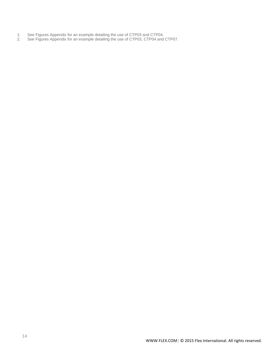- 1. See Figures Appendix for an example detailing the use of CTP03 and CTP04.
- 2. See Figures Appendix for an example detailing the use of CTP03, CTP04 and CTP07.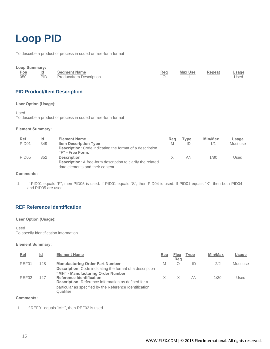### <span id="page-14-0"></span>**Loop PID**

To describe a product or process in coded or free-form format

<span id="page-14-1"></span>

| <b>Loop Summary:</b><br><b>Pos</b><br>050 | $\underline{\mathsf{Id}}$<br><b>PID</b> | <b>Segment Name</b><br>Product/Item Description               | Req<br>$\circ$ | <b>Max Use</b>    | <b>Repeat</b>  | <b>Usage</b><br>Used     |
|-------------------------------------------|-----------------------------------------|---------------------------------------------------------------|----------------|-------------------|----------------|--------------------------|
|                                           |                                         | <b>PID Product/Item Description</b>                           |                |                   |                |                          |
| <b>User Option (Usage):</b>               |                                         |                                                               |                |                   |                |                          |
| Used                                      |                                         | To describe a product or process in coded or free-form format |                |                   |                |                          |
| <b>Element Summary:</b>                   |                                         |                                                               |                |                   |                |                          |
| <b>Ref</b><br>PID <sub>01</sub>           | $\underline{\mathsf{Id}}$<br>349        | <b>Element Name</b><br><b>Item Description Type</b>           | Reg<br>M       | <b>Type</b><br>ID | Min/Max<br>1/1 | <b>Usage</b><br>Must use |

| PID <sub>01</sub> | 349 | <b>Item Description Type</b><br><b>Description:</b> Code indicating the format of a description       | M | ___<br>ID | 1/1  | Must use |
|-------------------|-----|-------------------------------------------------------------------------------------------------------|---|-----------|------|----------|
| PID <sub>05</sub> | 352 | "F" - Free Form.<br><b>Description</b>                                                                |   | ΑN        | 1/80 | Used     |
|                   |     | <b>Description:</b> A free-form description to clarify the related<br>data elements and their content |   |           |      |          |

#### **Comments:**

1. If PID01 equals "F", then PID05 is used. If PID01 equals "S", then PID04 is used. If PID01 equals "X", then both PID04 and PID05 are used.

### <span id="page-14-2"></span>**REF Reference Identification**

#### **User Option (Usage):**

#### Used

To specify identification information

#### **Element Summary:**

| Ref               | Id  | <b>Element Name</b>                                                                                                                                                   | Reg | <b>Flex</b><br><u>Req</u> | Type | Min/Max | Usage    |
|-------------------|-----|-----------------------------------------------------------------------------------------------------------------------------------------------------------------------|-----|---------------------------|------|---------|----------|
| REF01             | 128 | <b>Manufacturing Order Part Number</b><br><b>Description:</b> Code indicating the format of a description<br>"MH" - Manufacturing Order Number                        | M   | Ο                         | ID   | 2/2     | Must use |
| REF <sub>02</sub> | 127 | <b>Reference Identification</b><br><b>Description:</b> Reference information as defined for a<br>particular as specified by the Reference Identification<br>Qualifier |     |                           | AN   | 1/30    | Used     |

#### **Comments:**

1. If REF01 equals "MH", then REF02 is used.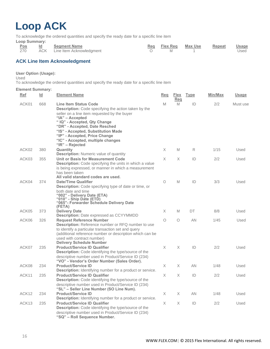### <span id="page-15-0"></span>**Loop ACK**

To acknowledge the ordered quantities and specify the ready date for a specific line item

**Loop Summary:**

|     | Pos Id Segment Name          |          | Reg Flex Reg Max Use Repeat Usage |      |
|-----|------------------------------|----------|-----------------------------------|------|
| 270 | ACK Line Item Acknowledgment | <b>M</b> |                                   | Used |

#### <span id="page-15-1"></span>**ACK Line Item Acknowledgment**

#### **User Option (Usage):**

Used

To acknowledge the ordered quantities and specify the ready date for a specific line item

| <u>Ref</u>        | $\underline{\mathsf{Id}}$ | <b>Element Name</b>                                                                                                                                                                                                                                                                                                                        | <b>Req</b> | <b>Flex</b><br>Reg | <b>Type</b> | Min/Max | <b>Usage</b> |
|-------------------|---------------------------|--------------------------------------------------------------------------------------------------------------------------------------------------------------------------------------------------------------------------------------------------------------------------------------------------------------------------------------------|------------|--------------------|-------------|---------|--------------|
| ACK01             | 668                       | <b>Line Item Status Code</b><br><b>Description:</b> Code specifying the action taken by the<br>seller on a line item requested by the buyer<br>"IA" - Accepted<br>"IQ" - Accepted, Qty Change<br>"DR" - Accepted, Date Resched<br>"IS" - Accepted, Substitution Made<br>"IP" - Accepted, Price Change<br>"IC" - Accepted, multiple changes | M          | M                  | ID          | 2/2     | Must use     |
| ACK02             | 380                       | "IR" - Rejected<br>Quantity<br><b>Description:</b> Numeric value of quantity                                                                                                                                                                                                                                                               | X          | M                  | R           | 1/15    | Used         |
| ACK03             | 355                       | Unit or Basis for Measurement Code<br>Description: Code specifying the units in which a value<br>is being expressed, or manner in which a measurement<br>has been taken<br>All valid standard codes are used.                                                                                                                              | X          | X                  | ID          | 2/2     | Used         |
| ACK04             | 374                       | <b>Date/Time Qualifier</b><br>Description: Code specifying type of date or time, or<br>both date and time<br>"002" - Delivery Date (ETA)<br>"010" - Ship Date (ETD)<br>"065"- Forwarder Schedule Delivery Date<br>(FETA)                                                                                                                   | 0          | M                  | ID          | 3/3     | Used         |
| ACK05             | 373                       | <b>Delivery Date</b><br><b>Description: Date expressed as CCYYMMDD</b>                                                                                                                                                                                                                                                                     | X          | M                  | DT          | 8/8     | Used         |
| ACK06             | 326                       | <b>Request Reference Number</b><br>Description: Reference number or RFQ number to use<br>to identify a particular transaction set and query<br>(additional reference number or description which can be<br>used with contract number)<br><b>Delivery Schedule Number</b>                                                                   | $\bigcirc$ | O                  | AN          | 1/45    | Used         |
| ACK07             | 235                       | <b>Product/Service ID Qualifier</b><br>Description: Code identifying the type/source of the<br>descriptive number used in Product/Service ID (234)<br>"VO" - Vendor's Order Number (Sales Order).                                                                                                                                          | X          | X                  | ID          | 2/2     | Used         |
| ACK08             | 234                       | <b>Product/Service ID</b><br>Description: Identifying number for a product or service.                                                                                                                                                                                                                                                     | X.         | X.                 | <b>AN</b>   | 1/48    | Used         |
| ACK11             | 235                       | <b>Product/Service ID Qualifier</b><br>Description: Code identifying the type/source of the<br>descriptive number used in Product/Service ID (234)<br>"SL" - Seller Line Number (SO Line Num).                                                                                                                                             | X          | X                  | ID          | 2/2     | Used         |
| ACK12             | 234                       | <b>Product/Service ID</b><br>Description: Identifying number for a product or service.                                                                                                                                                                                                                                                     | X          | X.                 | <b>AN</b>   | 1/48    | Used         |
| ACK <sub>13</sub> | 235                       | <b>Product/Service ID Qualifier</b><br>Description: Code identifying the type/source of the<br>descriptive number used in Product/Service ID (234)<br>"SQ" - Roll Sequence Number.                                                                                                                                                         | X          | X                  | ID          | 2/2     | Used         |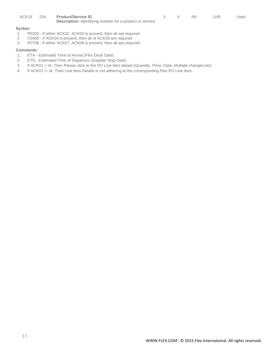|  | ACK14 234 Product/Service ID                                     |  | AN. | 1/48 | Used |
|--|------------------------------------------------------------------|--|-----|------|------|
|  | <b>Description:</b> Identifying number for a product or service. |  |     |      |      |

#### **Syntax:**

- 1. P0203 If either ACK02, ACK03 is present, then all are required
- 2. C0405 If ACK04 is present, then all of ACK05 are required
- 3. P0708 If either ACK07, ACK08 is present, then all are required

- 1. ETA Estimated Time of Arrival (Flex Dock Date)
- 2. ETD Estimated Time of Departure (Supplier Ship Date)
- 3. If ACK01 = IA, Then Please stick to the PO Line Item details (Quantity, Price, Date, Multiple changes etc)
- 4. If ACK01 != IA, Then Line Item Details is not adhering to the corresponding Flex PO Line Item.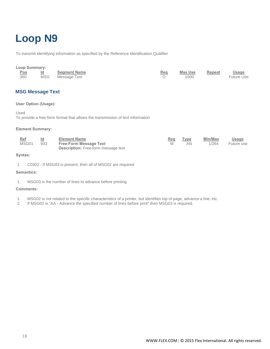### <span id="page-17-0"></span>**Loop N9**

To transmit identifying information as specified by the Reference Identification Qualifier

## Loop Summary:<br>
<u>Pos</u>
<br>
360
<br>
MSG

| ×,<br>٠<br>٠          |
|-----------------------|
| ٧<br>٧<br>٧<br>۰<br>۰ |

| Pos | Id | <b>Segment Name</b> | Rea | Max Use | Repeat | <u>Usage</u>      |
|-----|----|---------------------|-----|---------|--------|-------------------|
| 360 |    | MSG Message Text    |     | 1000    |        | <b>Future Use</b> |

<span id="page-17-1"></span>**MSG Message Text**

#### **User Option (Usage):**

Used

To provide a free-form format that allows the transmission of text information

#### **Element Summary:**

| Ref<br>MSG01 | Id<br>933 | <b>Element Name</b><br><b>Free-Form Message Text</b><br><b>Description:</b> Free-form message text | Reg | <b>Type</b><br>ΑN | <b>Min/Max</b><br>1/264 | <u>Usage</u><br>Future use |
|--------------|-----------|----------------------------------------------------------------------------------------------------|-----|-------------------|-------------------------|----------------------------|
|              |           |                                                                                                    |     |                   |                         |                            |

#### **Syntax:**

1. C0302 - If MSG03 is present, then all of MSG02 are required

#### **Semantics:**

1. MSG03 is the number of lines to advance before printing.

- 1. MSG02 is not related to the specific characteristics of a printer, but identifies top of page, advance a line, etc.
- 2. If MSG02 is "AA Advance the specified number of lines before print" then MSG03 is required.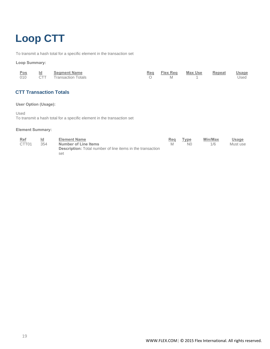### <span id="page-18-0"></span>**Loop CTT**

To transmit a hash total for a specific element in the transaction set

#### **Loop Summary:**

| <u>Pos</u> | Id Segment Name        |            | Reg Flex Reg Max Use Repeat | <b>Usage</b> |
|------------|------------------------|------------|-----------------------------|--------------|
| 010        | CTT Transaction Totals | $\Omega$ M |                             | Used         |

#### <span id="page-18-1"></span>**CTT Transaction Totals**

#### **User Option (Usage):**

Used

To transmit a hash total for a specific element in the transaction set

| <b>Ref</b>        | <u>ld</u> | <b>Element Name</b>                                               | Req | Type           | Min/Max | Usage    |
|-------------------|-----------|-------------------------------------------------------------------|-----|----------------|---------|----------|
| CTT <sub>01</sub> | 354       | Number of Line Items                                              |     | N <sub>0</sub> | 1/6     | Must use |
|                   |           | <b>Description:</b> Total number of line items in the transaction |     |                |         |          |
|                   |           | set                                                               |     |                |         |          |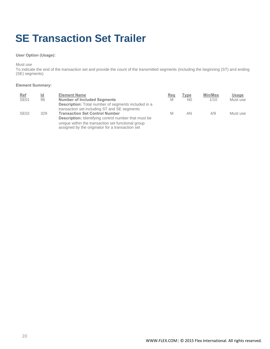### <span id="page-19-0"></span>**SE Transaction Set Trailer**

#### **User Option (Usage):**

Must use

To indicate the end of the transaction set and provide the count of the transmitted segments (including the beginning (ST) and ending (SE) segments)

| Ref<br>SE <sub>01</sub> | $\underline{\mathsf{Id}}$<br>96 | <b>Element Name</b><br><b>Number of Included Segments</b>                                                  | <b>Req</b><br>M | <b>Type</b><br>N <sub>0</sub> | Min/Max<br>1/10 | Usage<br>Must use |
|-------------------------|---------------------------------|------------------------------------------------------------------------------------------------------------|-----------------|-------------------------------|-----------------|-------------------|
|                         |                                 | <b>Description:</b> Total number of segments included in a<br>transaction set including ST and SE segments |                 |                               |                 |                   |
| <b>SE02</b>             | 329                             | <b>Transaction Set Control Number</b><br><b>Description:</b> Identifying control number that must be       | M               | AN                            | 4/9             | Must use          |
|                         |                                 | unique within the transaction set functional group<br>assigned by the originator for a transaction set     |                 |                               |                 |                   |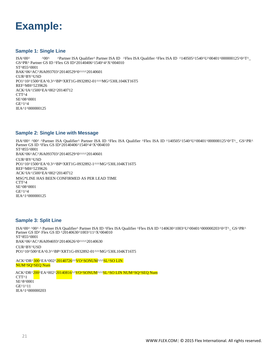<span id="page-20-0"></span>

#### <span id="page-20-1"></span>**Sample 1: Single Line**

ISA^00^ ^ ^Partner ISA Qualifier^ Partner ISA ID ^Flex ISA Qualifier ^Flex ISA ID ^140505^1540^U^00401^000000125^0^T^\_ GS^PR^ Partner GS ID ^Flex GS ID^20140406^1540^4^X^004010 ST^855^0001 BAK^06^AC^J6A093703^20140529^0^^^^20140601 CUR^BY^USD PO1^10^1500^EA^0.3^^BP^XRT1G-0932892-01^^^MG^530L104KT16T5 REF^MH^5239626 ACK^IA^1500^EA^002^20140712 CTT^4 SE^08^0001 GE^1^4 IEA^1^000000125

#### <span id="page-20-2"></span>**Sample 2: Single Line with Message**

ISA^00^ ^00^ ^Partner ISA Qualifier^ Partner ISA ID ^Flex ISA Qualifier ^Flex ISA ID ^140505^1540^U^00401^000000125^0^T^\_ GS^PR^ Partner GS ID ^Flex GS ID^20140406^1540^4^X^004010 ST^855^0001 BAK^06^AC^J6A093703^20140529^0^^^^20140601 CUR^BY^USD PO1^10^1500^EA^0.3^^BP^XRT1G-0932892-1^^^MG^530L104KT16T5 REF^MH^5239626 ACK^IA^1500^EA^002^20140712 MSG\*LINE HAS BEEN CONFIRMED AS PER LEAD TIME CTT^4 SE^08^0001 GE^1^4 IEA^1^000000125

#### <span id="page-20-3"></span>**Sample 3: Split Line**

ISA^00^ ^00^ ^ Partner ISA Qualifier^ Partner ISA ID ^Flex ISA Qualifier ^Flex ISA ID ^140630^1003^U^00401^000000203^0^T^\_ GS^PR^ Partner GS ID^ Flex GS ID ^20140630^1003^11^X^004010 ST^855^0001 BAK^06^AC^J6A094693^20140626^0^^^^20140630 CUR^BY^USD PO1^10^500^EA^0.3^^BP^XRT1G-0932892-01^^^MG^530L104KT16T5

ACK^DR^300^EA^002^20140726^^VO^SONUM^^^SL^SO LIN NUM^SQ^SEQ Num ACK^DR^200^EA^002^20140816^^VO^SONUM^^^SL^SO LIN NUM^SQ^SEQ Num CTT^1 SE^8^0001

GE^1^11 IEA^1^000000203